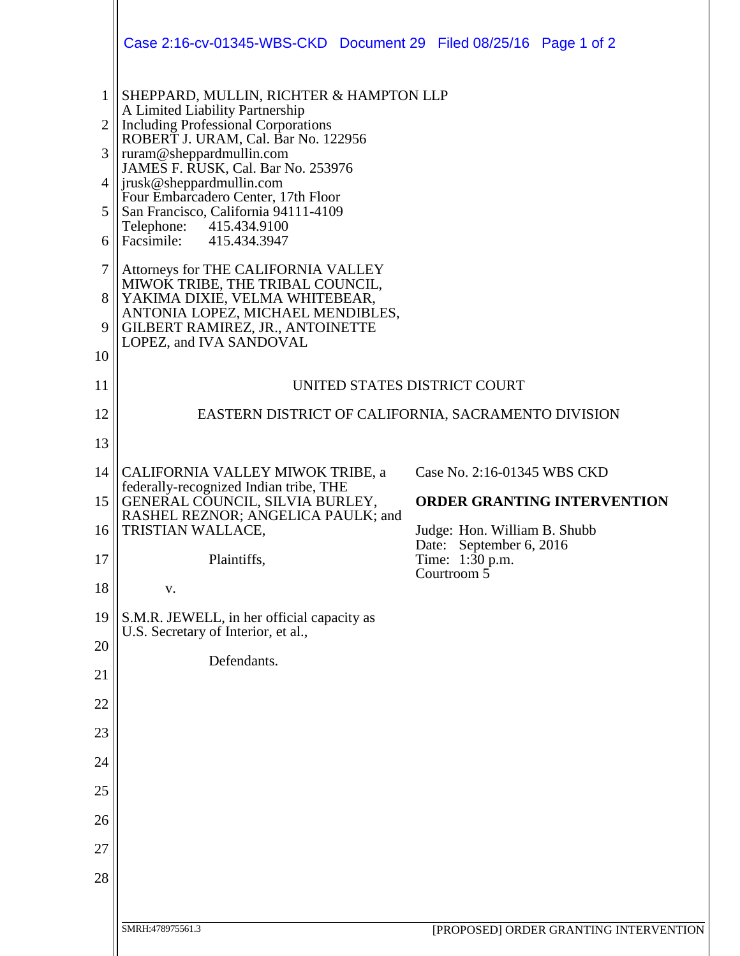|                     | Case 2:16-cv-01345-WBS-CKD Document 29 Filed 08/25/16 Page 1 of 2                                                                  |                                                                        |  |  |  |
|---------------------|------------------------------------------------------------------------------------------------------------------------------------|------------------------------------------------------------------------|--|--|--|
| 1<br>$\overline{2}$ | SHEPPARD, MULLIN, RICHTER & HAMPTON LLP<br>A Limited Liability Partnership<br><b>Including Professional Corporations</b>           |                                                                        |  |  |  |
| 3                   | ROBERT J. URAM, Cal. Bar No. 122956<br>ruram@sheppardmullin.com                                                                    |                                                                        |  |  |  |
| $\overline{4}$      | JAMES F. RUSK, Cal. Bar No. 253976<br>jrusk@sheppardmullin.com                                                                     |                                                                        |  |  |  |
| 5                   | Four Embarcadero Center, 17th Floor<br>San Francisco, California 94111-4109<br>Telephone:<br>415.434.9100                          |                                                                        |  |  |  |
| 6                   | Facsimile: 415.434.3947                                                                                                            |                                                                        |  |  |  |
| $\overline{7}$      | Attorneys for THE CALIFORNIA VALLEY<br>MIWOK TRIBE, THE TRIBAL COUNCIL,                                                            |                                                                        |  |  |  |
| 8<br>9              | YAKIMA DIXIE, VELMA WHITEBEAR,<br>ANTONIA LOPEZ, MICHAEL MENDIBLES,<br>GILBERT RAMIREZ, JR., ANTOINETTE<br>LOPEZ, and IVA SANDOVAL |                                                                        |  |  |  |
| 10                  |                                                                                                                                    |                                                                        |  |  |  |
| 11                  | UNITED STATES DISTRICT COURT                                                                                                       |                                                                        |  |  |  |
| 12<br>13            |                                                                                                                                    | EASTERN DISTRICT OF CALIFORNIA, SACRAMENTO DIVISION                    |  |  |  |
| 14                  | CALIFORNIA VALLEY MIWOK TRIBE, a                                                                                                   | Case No. 2:16-01345 WBS CKD                                            |  |  |  |
| 15                  | federally-recognized Indian tribe, THE<br>GENERAL COUNCIL, SILVIA BURLEY,                                                          | <b>ORDER GRANTING INTERVENTION</b>                                     |  |  |  |
| 16                  | RASHEL REZNOR; ANGELICA PAULK; and<br>TRISTIAN WALLACE,                                                                            | Judge: Hon. William B. Shubb                                           |  |  |  |
| 17                  | Plaintiffs,                                                                                                                        | Date: September 6, 2016<br>Time: 1:30 p.m.<br>Courtroom $\overline{5}$ |  |  |  |
| 18                  | V.                                                                                                                                 |                                                                        |  |  |  |
| 19                  | S.M.R. JEWELL, in her official capacity as<br>U.S. Secretary of Interior, et al.,                                                  |                                                                        |  |  |  |
| 20<br>21            | Defendants.                                                                                                                        |                                                                        |  |  |  |
| 22                  |                                                                                                                                    |                                                                        |  |  |  |
| 23                  |                                                                                                                                    |                                                                        |  |  |  |
| 24                  |                                                                                                                                    |                                                                        |  |  |  |
|                     |                                                                                                                                    |                                                                        |  |  |  |
| 25                  |                                                                                                                                    |                                                                        |  |  |  |
| 26                  |                                                                                                                                    |                                                                        |  |  |  |
| 27                  |                                                                                                                                    |                                                                        |  |  |  |
| 28                  |                                                                                                                                    |                                                                        |  |  |  |
|                     | SMRH:478975561.3                                                                                                                   | [PROPOSED] ORDER GRANTING INTERVENTION                                 |  |  |  |